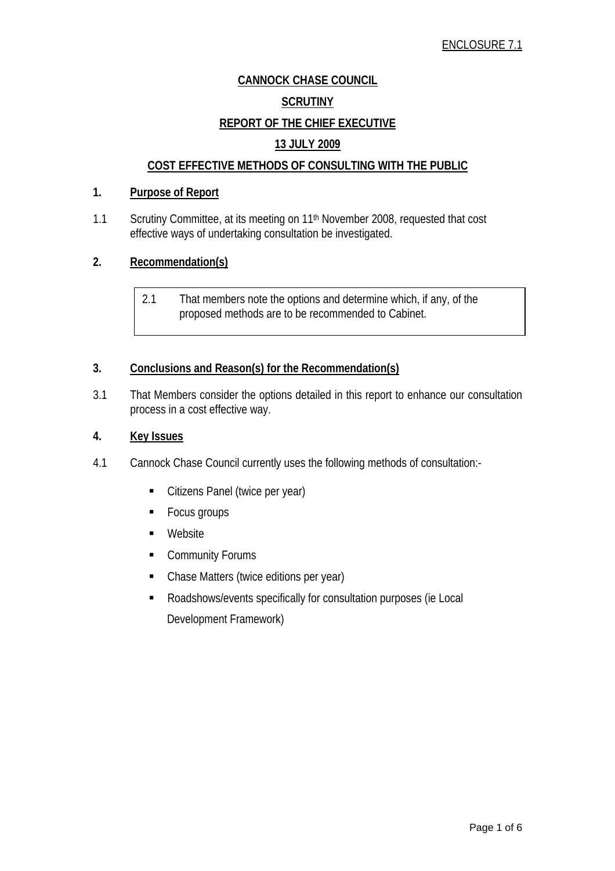# **CANNOCK CHASE COUNCIL SCRUTINY REPORT OF THE CHIEF EXECUTIVE 13 JULY 2009**

# **COST EFFECTIVE METHODS OF CONSULTING WITH THE PUBLIC**

# **1. Purpose of Report**

1.1 Scrutiny Committee, at its meeting on 11<sup>th</sup> November 2008, requested that cost effective ways of undertaking consultation be investigated.

# **2. Recommendation(s)**

2.1 That members note the options and determine which, if any, of the proposed methods are to be recommended to Cabinet.

# **3. Conclusions and Reason(s) for the Recommendation(s)**

3.1 That Members consider the options detailed in this report to enhance our consultation process in a cost effective way.

### **4. Key Issues**

- 4.1 Cannock Chase Council currently uses the following methods of consultation:-
	- Citizens Panel (twice per year)
	- **Focus groups**
	- **Nebsite**
	- **Community Forums**
	- Chase Matters (twice editions per year)
	- Roadshows/events specifically for consultation purposes (ie Local Development Framework)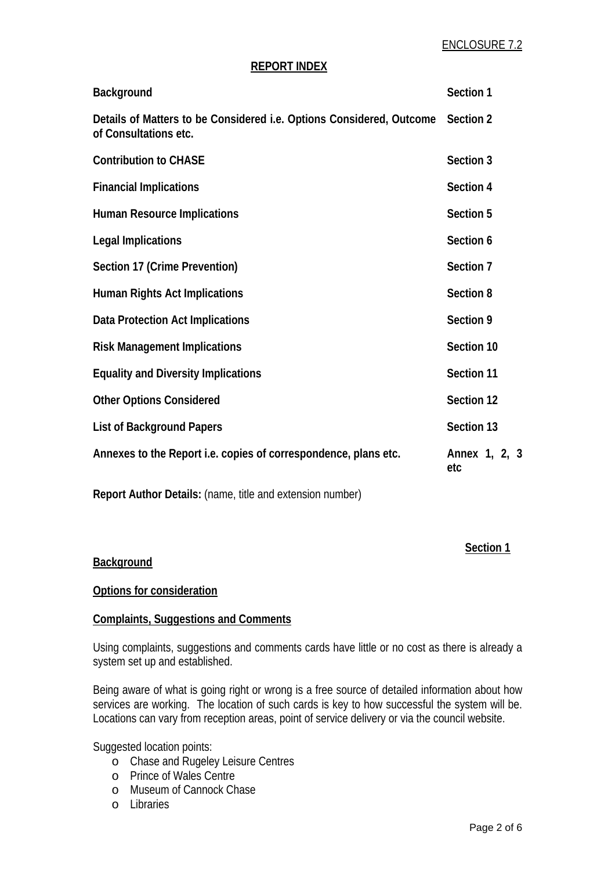#### **REPORT INDEX**

| Background                                                                                    | Section 1            |
|-----------------------------------------------------------------------------------------------|----------------------|
| Details of Matters to be Considered i.e. Options Considered, Outcome<br>of Consultations etc. | Section 2            |
| <b>Contribution to CHASE</b>                                                                  | Section 3            |
| <b>Financial Implications</b>                                                                 | Section 4            |
| <b>Human Resource Implications</b>                                                            | Section 5            |
| Legal Implications                                                                            | Section 6            |
| Section 17 (Crime Prevention)                                                                 | Section 7            |
| <b>Human Rights Act Implications</b>                                                          | Section 8            |
| Data Protection Act Implications                                                              | Section 9            |
| <b>Risk Management Implications</b>                                                           | Section 10           |
| <b>Equality and Diversity Implications</b>                                                    | Section 11           |
| <b>Other Options Considered</b>                                                               | Section 12           |
| <b>List of Background Papers</b>                                                              | Section 13           |
| Annexes to the Report i.e. copies of correspondence, plans etc.                               | Annex 1, 2, 3<br>etc |

**Report Author Details:** (name, title and extension number)

#### **Section 1 Section 1**

#### **Background**

#### **Options for consideration**

#### **Complaints, Suggestions and Comments**

Using complaints, suggestions and comments cards have little or no cost as there is already a system set up and established.

Being aware of what is going right or wrong is a free source of detailed information about how services are working. The location of such cards is key to how successful the system will be. Locations can vary from reception areas, point of service delivery or via the council website.

Suggested location points:

- o Chase and Rugeley Leisure Centres
- o Prince of Wales Centre
- o Museum of Cannock Chase
- o Libraries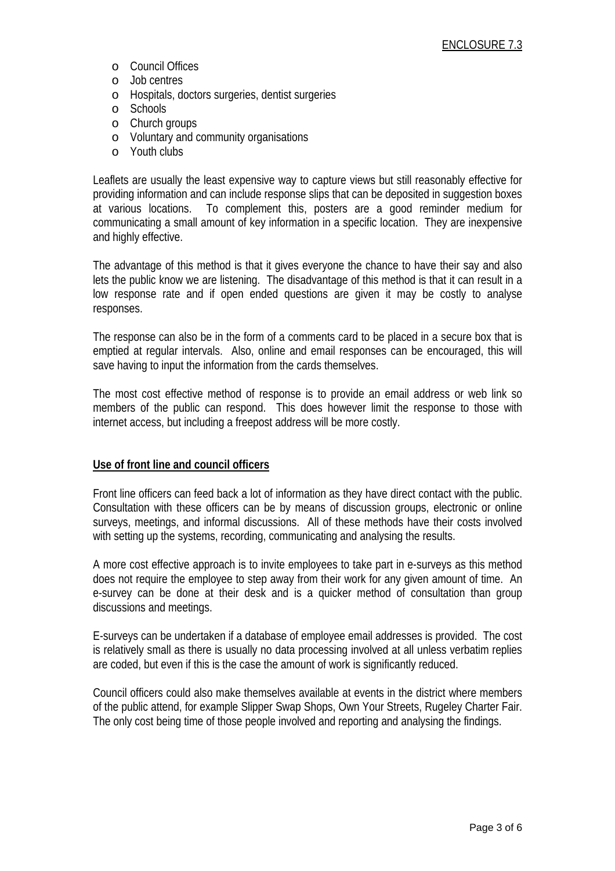- o Council Offices
- o Job centres
- o Hospitals, doctors surgeries, dentist surgeries
- o Schools
- o Church groups
- o Voluntary and community organisations
- o Youth clubs

Leaflets are usually the least expensive way to capture views but still reasonably effective for providing information and can include response slips that can be deposited in suggestion boxes at various locations. To complement this, posters are a good reminder medium for communicating a small amount of key information in a specific location. They are inexpensive and highly effective.

The advantage of this method is that it gives everyone the chance to have their say and also lets the public know we are listening. The disadvantage of this method is that it can result in a low response rate and if open ended questions are given it may be costly to analyse responses.

The response can also be in the form of a comments card to be placed in a secure box that is emptied at regular intervals. Also, online and email responses can be encouraged, this will save having to input the information from the cards themselves.

The most cost effective method of response is to provide an email address or web link so members of the public can respond. This does however limit the response to those with internet access, but including a freepost address will be more costly.

#### **Use of front line and council officers**

Front line officers can feed back a lot of information as they have direct contact with the public. Consultation with these officers can be by means of discussion groups, electronic or online surveys, meetings, and informal discussions. All of these methods have their costs involved with setting up the systems, recording, communicating and analysing the results.

A more cost effective approach is to invite employees to take part in e-surveys as this method does not require the employee to step away from their work for any given amount of time. An e-survey can be done at their desk and is a quicker method of consultation than group discussions and meetings.

E-surveys can be undertaken if a database of employee email addresses is provided. The cost is relatively small as there is usually no data processing involved at all unless verbatim replies are coded, but even if this is the case the amount of work is significantly reduced.

Council officers could also make themselves available at events in the district where members of the public attend, for example Slipper Swap Shops, Own Your Streets, Rugeley Charter Fair. The only cost being time of those people involved and reporting and analysing the findings.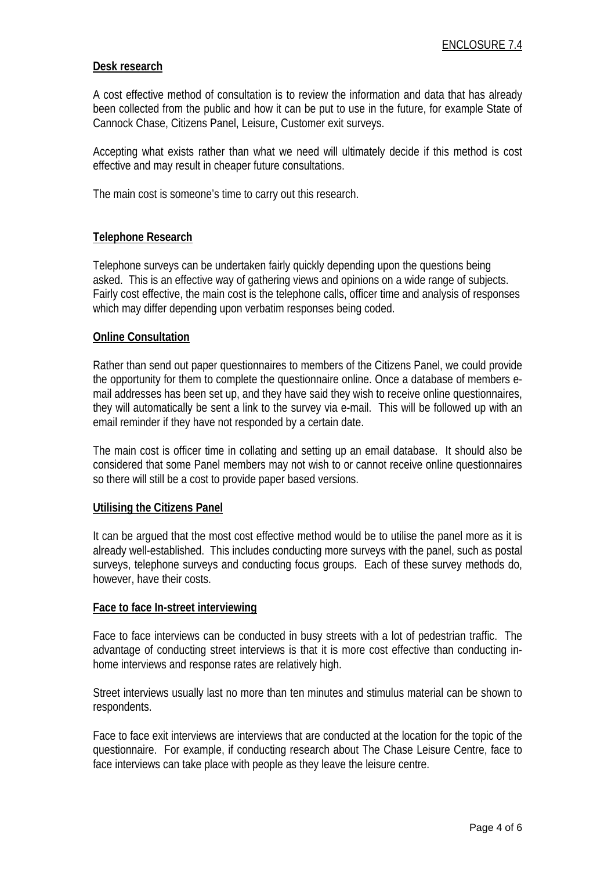#### **Desk research**

A cost effective method of consultation is to review the information and data that has already been collected from the public and how it can be put to use in the future, for example State of Cannock Chase, Citizens Panel, Leisure, Customer exit surveys.

Accepting what exists rather than what we need will ultimately decide if this method is cost effective and may result in cheaper future consultations.

The main cost is someone's time to carry out this research.

# **Telephone Research**

Telephone surveys can be undertaken fairly quickly depending upon the questions being asked. This is an effective way of gathering views and opinions on a wide range of subjects. Fairly cost effective, the main cost is the telephone calls, officer time and analysis of responses which may differ depending upon verbatim responses being coded.

#### **Online Consultation**

Rather than send out paper questionnaires to members of the Citizens Panel, we could provide the opportunity for them to complete the questionnaire online. Once a database of members email addresses has been set up, and they have said they wish to receive online questionnaires, they will automatically be sent a link to the survey via e-mail. This will be followed up with an email reminder if they have not responded by a certain date.

The main cost is officer time in collating and setting up an email database. It should also be considered that some Panel members may not wish to or cannot receive online questionnaires so there will still be a cost to provide paper based versions.

#### **Utilising the Citizens Panel**

It can be argued that the most cost effective method would be to utilise the panel more as it is already well-established. This includes conducting more surveys with the panel, such as postal surveys, telephone surveys and conducting focus groups. Each of these survey methods do, however, have their costs.

#### **Face to face In-street interviewing**

Face to face interviews can be conducted in busy streets with a lot of pedestrian traffic. The advantage of conducting street interviews is that it is more cost effective than conducting inhome interviews and response rates are relatively high.

Street interviews usually last no more than ten minutes and stimulus material can be shown to respondents.

Face to face exit interviews are interviews that are conducted at the location for the topic of the questionnaire. For example, if conducting research about The Chase Leisure Centre, face to face interviews can take place with people as they leave the leisure centre.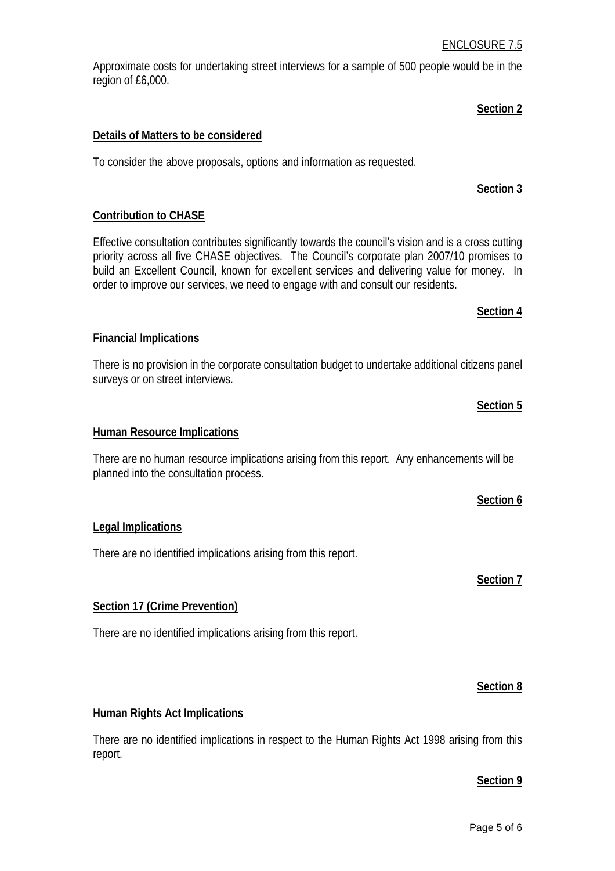#### ENCLOSURE 7.5

Approximate costs for undertaking street interviews for a sample of 500 people would be in the region of £6,000.

# **Details of Matters to be considered**

To consider the above proposals, options and information as requested.

# **Contribution to CHASE**

Effective consultation contributes significantly towards the council's vision and is a cross cutting priority across all five CHASE objectives. The Council's corporate plan 2007/10 promises to build an Excellent Council, known for excellent services and delivering value for money. In order to improve our services, we need to engage with and consult our residents.

# **Financial Implications**

There is no provision in the corporate consultation budget to undertake additional citizens panel surveys or on street interviews.

#### **Human Resource Implications**

There are no human resource implications arising from this report. Any enhancements will be planned into the consultation process.

#### **Legal Implications**

There are no identified implications arising from this report.

# **Section 17 (Crime Prevention)**

There are no identified implications arising from this report.

#### **Human Rights Act Implications**

There are no identified implications in respect to the Human Rights Act 1998 arising from this report.

#### **Section 9**

**Section 8**

# **Section 6**

# **Section 7**

# **Section 2**

**Section 3**

**Section 4**

**Section 5**